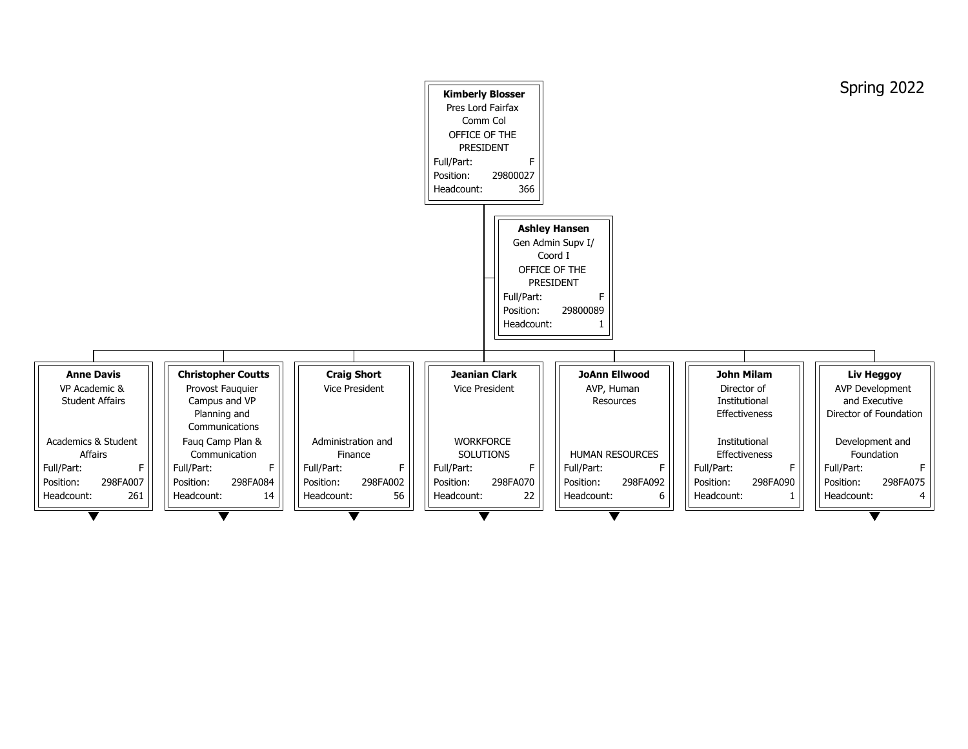|                                         |                                                                     |                       | <b>Kimberly Blosser</b><br>Pres Lord Fairfax<br>Comm Col<br>OFFICE OF THE<br><b>PRESIDENT</b><br>Full/Part:<br>F.<br>29800027<br>Position:<br>Headcount:<br>366 |                                                                                                            |
|-----------------------------------------|---------------------------------------------------------------------|-----------------------|-----------------------------------------------------------------------------------------------------------------------------------------------------------------|------------------------------------------------------------------------------------------------------------|
|                                         |                                                                     |                       | Full/Part:<br>Position:<br>Headcount:                                                                                                                           | <b>Ashley Hansen</b><br>Gen Admin Supv I/<br>Coord I<br>OFFICE OF THE<br><b>PRESIDENT</b><br>F<br>29800089 |
|                                         |                                                                     |                       |                                                                                                                                                                 |                                                                                                            |
| <b>Anne Davis</b>                       | <b>Christopher Coutts</b>                                           | <b>Craig Short</b>    | <b>Jeanian Clark</b>                                                                                                                                            | <b>JoAnn Ellwood</b>                                                                                       |
| VP Academic &<br><b>Student Affairs</b> | Provost Fauquier<br>Campus and VP<br>Planning and<br>Communications | <b>Vice President</b> | <b>Vice President</b>                                                                                                                                           | AVP, Human<br><b>Resources</b>                                                                             |
| <b>Academics &amp; Student</b>          | Faug Camp Plan &                                                    | Administration and    | <b>WORKFORCE</b>                                                                                                                                                |                                                                                                            |
| <b>Affairs</b>                          | Communication                                                       | Finance               | <b>SOLUTIONS</b>                                                                                                                                                | <b>HUMAN RESOURCES</b>                                                                                     |
| F.<br>Full/Part:                        | F.<br>Full/Part:                                                    | Full/Part:<br>F       | Full/Part:<br>F                                                                                                                                                 | Full/Part:                                                                                                 |
| 298FA007<br>Position:                   | 298FA084<br>Position:                                               | 298FA002<br>Position: | 298FA070<br>Position:                                                                                                                                           | Position:<br>298FA092                                                                                      |
| 261<br>Headcount:                       | Headcount:<br>14                                                    | Headcount:<br>56      | Headcount:<br>22                                                                                                                                                | Headcount:<br>6                                                                                            |
|                                         |                                                                     |                       |                                                                                                                                                                 |                                                                                                            |



## Spring 2022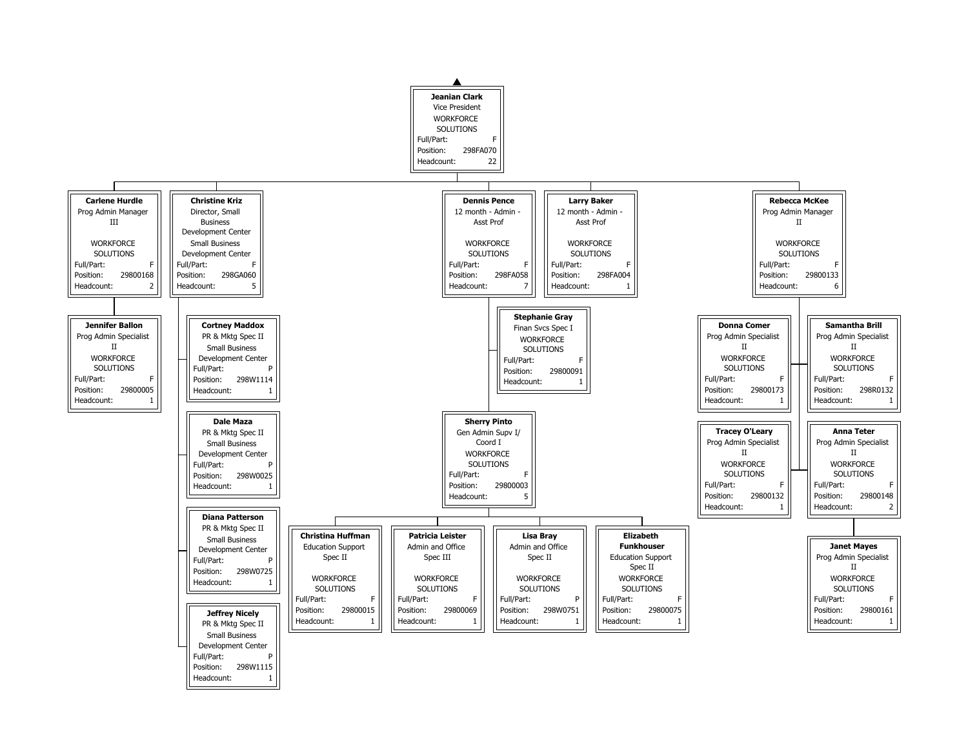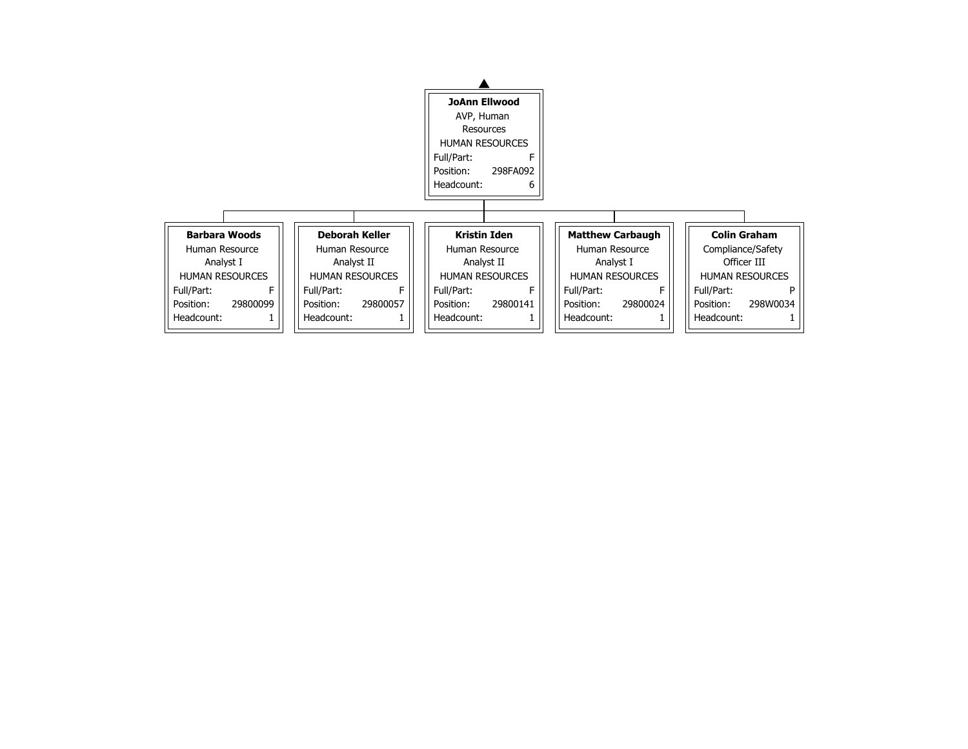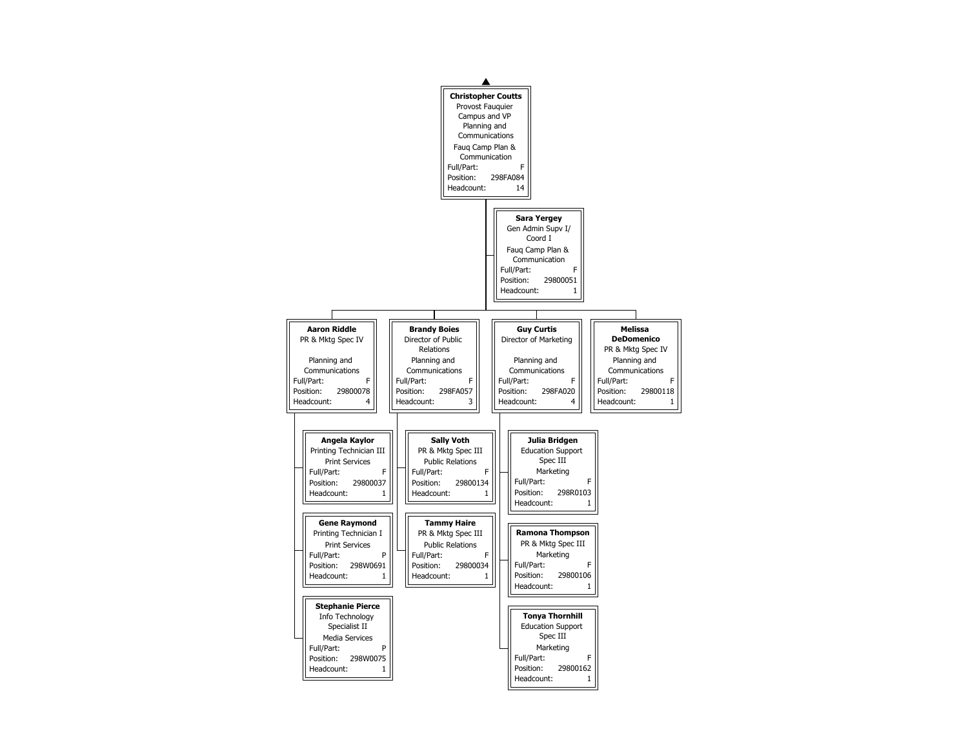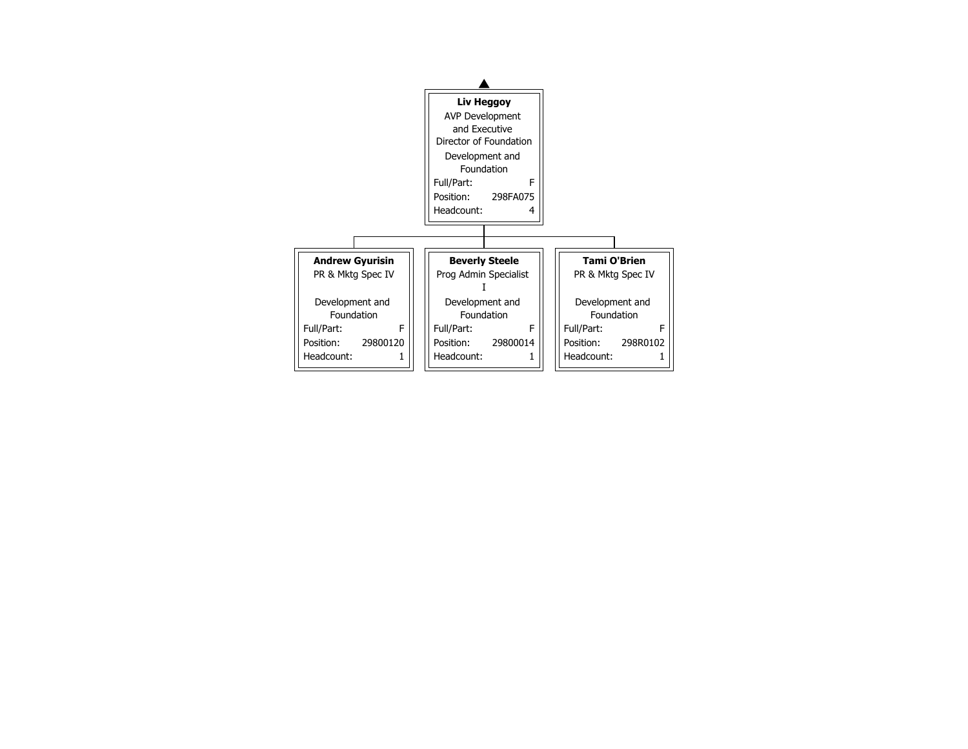

| Brien<br><b>Spec IV</b> |
|-------------------------|
| nt and!<br>tion         |
| F<br>298R0102           |
|                         |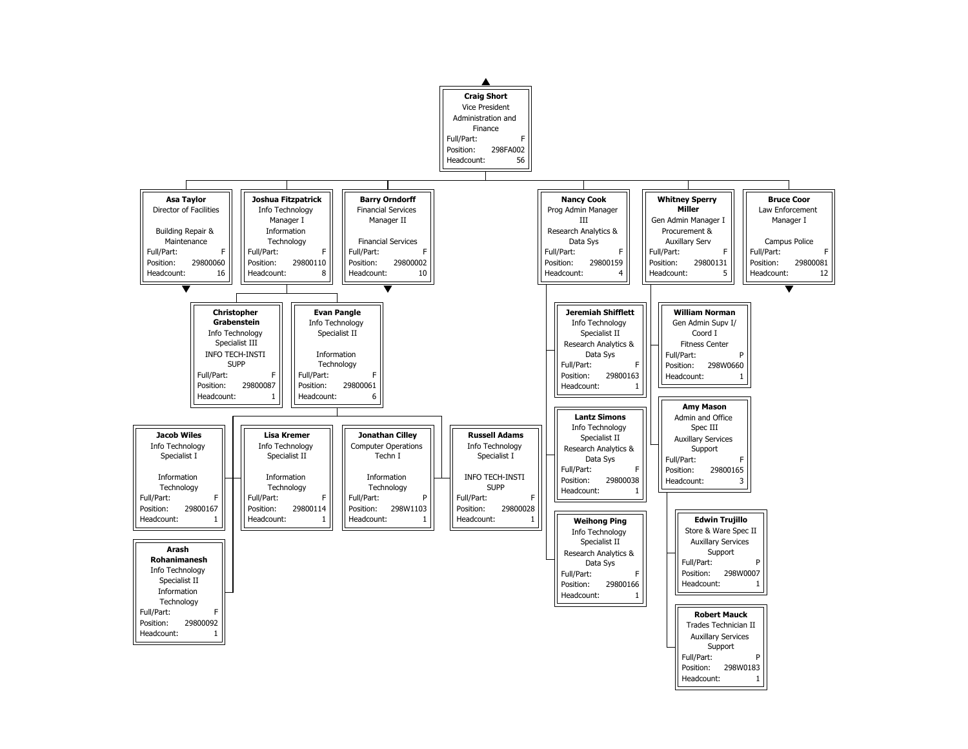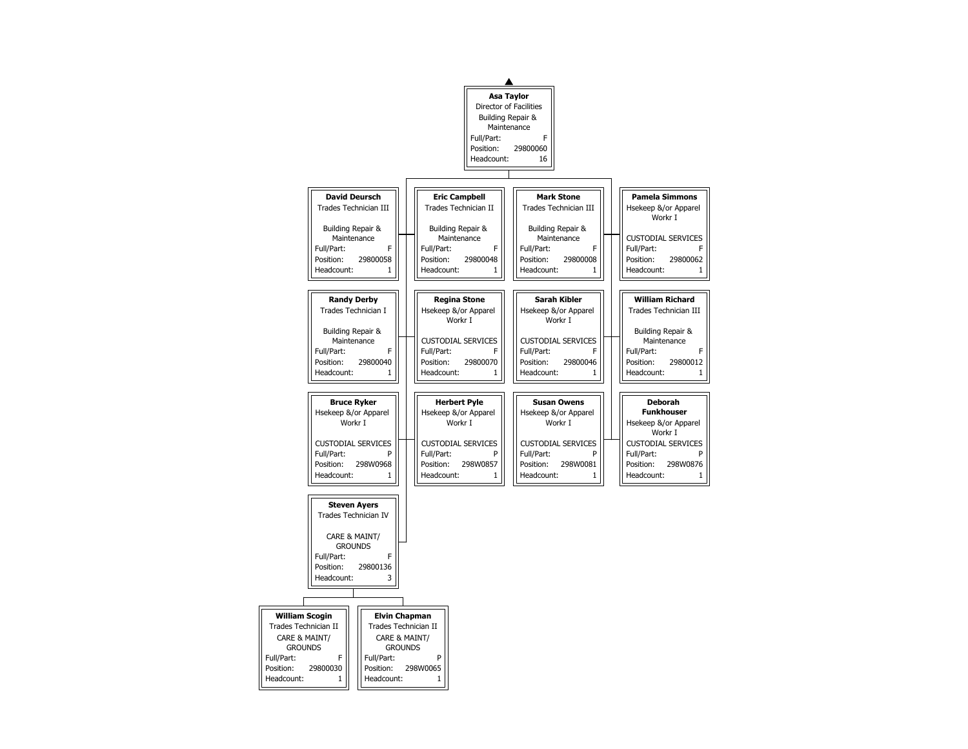| <b>Pamela Simmons</b>        |  |  |  |  |  |  |
|------------------------------|--|--|--|--|--|--|
| Hsekeep &/or Apparel         |  |  |  |  |  |  |
| Workr I                      |  |  |  |  |  |  |
|                              |  |  |  |  |  |  |
| <b>CUSTODIAL SERVICES</b>    |  |  |  |  |  |  |
| Full/Part:<br>F              |  |  |  |  |  |  |
| 29800062<br>Position:        |  |  |  |  |  |  |
| Headcount:<br>1              |  |  |  |  |  |  |
|                              |  |  |  |  |  |  |
| <b>William Richard</b>       |  |  |  |  |  |  |
| <b>Trades Technician III</b> |  |  |  |  |  |  |
|                              |  |  |  |  |  |  |
| Building Repair &            |  |  |  |  |  |  |
| Maintenance                  |  |  |  |  |  |  |
| Full/Part:<br>F              |  |  |  |  |  |  |
| 29800012<br>Position:        |  |  |  |  |  |  |
| Headcount:<br>1              |  |  |  |  |  |  |
|                              |  |  |  |  |  |  |
| <b>Deborah</b>               |  |  |  |  |  |  |
| <b>Funkhouser</b>            |  |  |  |  |  |  |
| Hsekeep &/or Apparel         |  |  |  |  |  |  |
| Workr I                      |  |  |  |  |  |  |
| <b>CUSTODIAL SERVICES</b>    |  |  |  |  |  |  |
| Full/Part:<br>P              |  |  |  |  |  |  |
| 298W0876<br>Position:        |  |  |  |  |  |  |
| Headcount:<br>$\mathbf{1}$   |  |  |  |  |  |  |

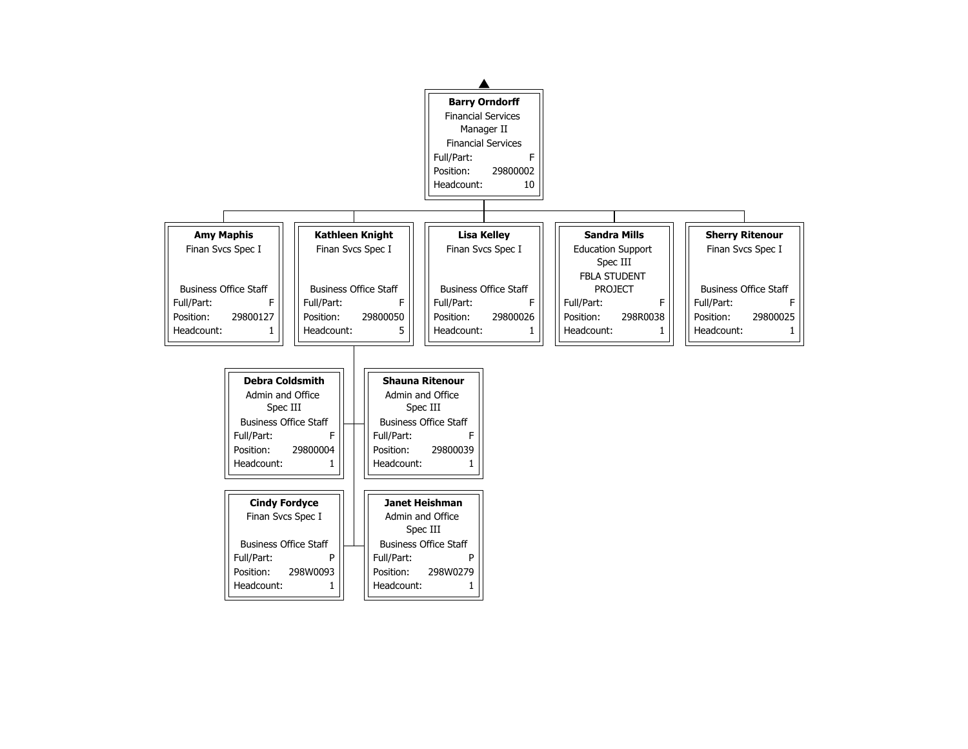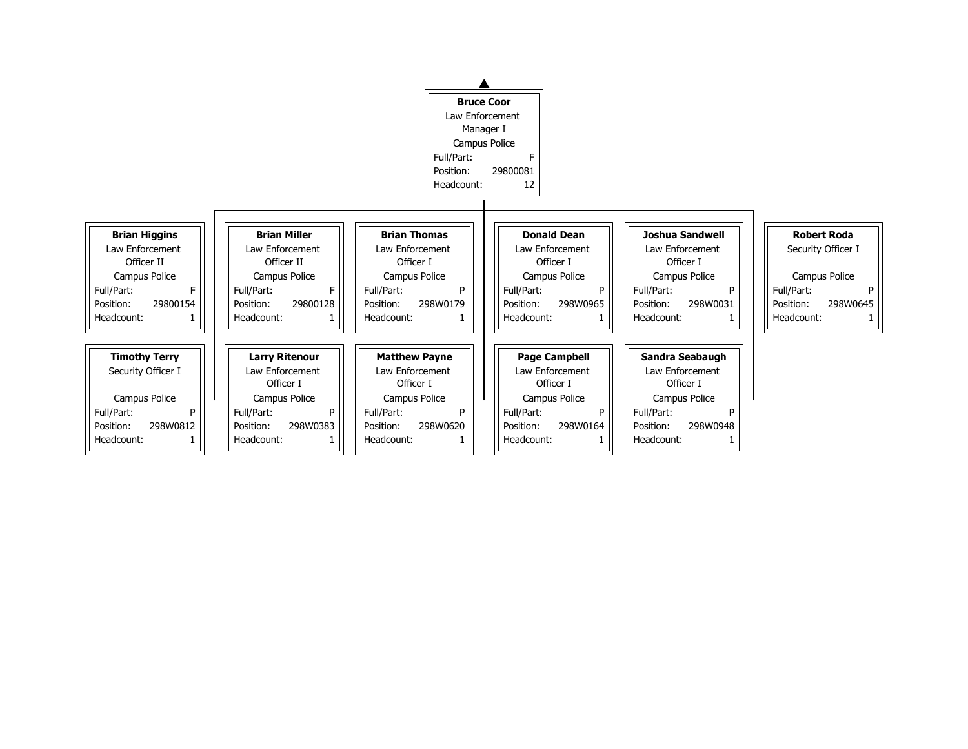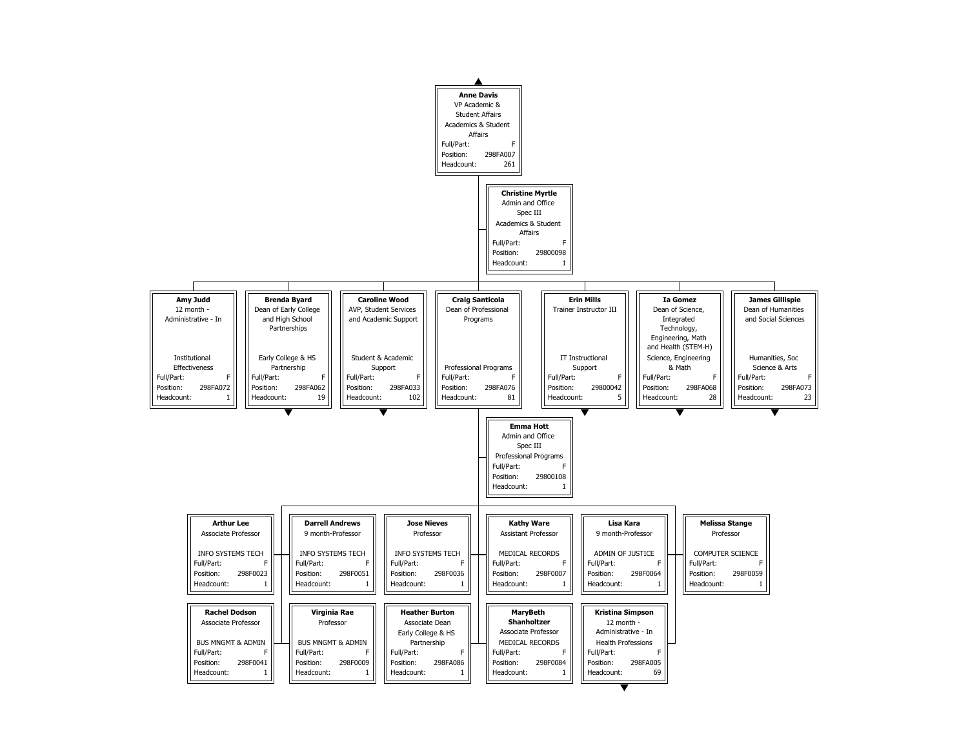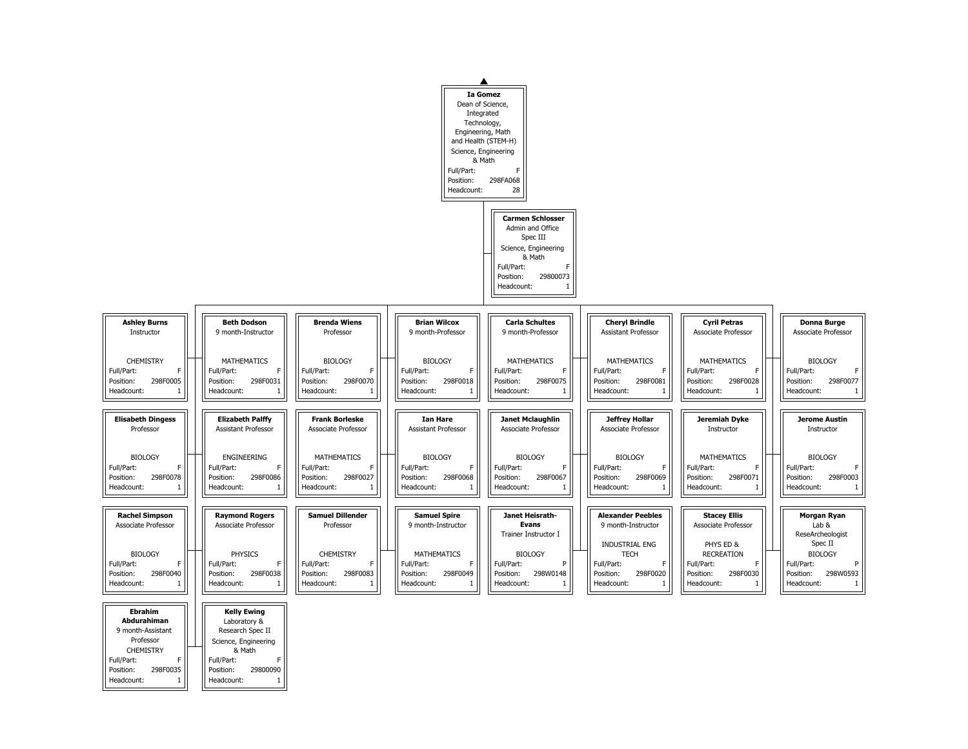

|                                                                                                                                                           |                                                                                                                                                         |                                                                                            | Full/Part:<br>Position:<br>Headcount:                                                         | <b>Ia Gomez</b><br>Dean of Science,<br>Integrated<br>Technology,<br>Engineering, Math<br>and Health (STEM-H)<br>Science, Engineering<br>& Math<br>F<br>298FA068<br>28<br><b>Carmen Schlosser</b> |                                                                        |
|-----------------------------------------------------------------------------------------------------------------------------------------------------------|---------------------------------------------------------------------------------------------------------------------------------------------------------|--------------------------------------------------------------------------------------------|-----------------------------------------------------------------------------------------------|--------------------------------------------------------------------------------------------------------------------------------------------------------------------------------------------------|------------------------------------------------------------------------|
|                                                                                                                                                           |                                                                                                                                                         |                                                                                            |                                                                                               | Admin and Office<br>Spec III<br>Science, Engineering<br>& Math<br>Full/Part:<br>F<br>Position:<br>29800073<br>Headcount:                                                                         |                                                                        |
| <b>Ashley Burns</b><br>Instructor                                                                                                                         | <b>Beth Dodson</b><br>9 month-Instructor                                                                                                                | <b>Brenda Wiens</b><br>Professor                                                           | <b>Brian Wilcox</b><br>9 month-Professor                                                      | <b>Carla Schultes</b><br>9 month-Professor                                                                                                                                                       | <b>Cheryl B</b><br>Assistant P                                         |
| <b>CHEMISTRY</b><br>F.<br>Full/Part:<br>298F0005<br>Position:<br>Headcount:<br>1                                                                          | <b>MATHEMATICS</b><br>Full/Part:<br>F<br>298F0031<br>Position:<br>Headcount:<br>$\mathbf{1}$                                                            | <b>BIOLOGY</b><br>Full/Part:<br>F<br>298F0070<br>Position:<br>Headcount:<br>$\mathbf{1}$   | <b>BIOLOGY</b><br>Full/Part:<br>F<br>298F0018<br>Position:<br>Headcount:<br>$\mathbf{1}$      | <b>MATHEMATICS</b><br>Full/Part:<br>F.<br>298F0075<br>Position:<br>Headcount:<br>$\mathbf{1}$                                                                                                    | <b>MATHEM</b><br>Full/Part:<br>Position:<br>Headcount:                 |
| <b>Elisabeth Dingess</b><br>Professor                                                                                                                     | <b>Elizabeth Palffy</b><br><b>Assistant Professor</b>                                                                                                   | <b>Frank Borleske</b><br><b>Associate Professor</b>                                        | <b>Ian Hare</b><br><b>Assistant Professor</b>                                                 | <b>Janet Mclaughlin</b><br><b>Associate Professor</b>                                                                                                                                            | Jeffrey<br>Associate F                                                 |
| <b>BIOLOGY</b><br>F.<br>Full/Part:<br>298F0078<br>Position:<br>Headcount:<br>1                                                                            | <b>ENGINEERING</b><br>Full/Part:<br>F<br>298F0086<br>Position:<br>Headcount:<br>$\mathbf{1}$                                                            | <b>MATHEMATICS</b><br>Full/Part:<br>F<br>298F0027<br>Position:<br>Headcount:<br>1          | <b>BIOLOGY</b><br>Full/Part:<br>F<br>298F0068<br>Position:<br>Headcount:<br>$\mathbf{1}$      | <b>BIOLOGY</b><br>F.<br>Full/Part:<br>298F0067<br>Position:<br>Headcount:<br>1                                                                                                                   | <b>BIOLC</b><br>Full/Part:<br>Position:<br>Headcount:                  |
| <b>Rachel Simpson</b><br>Associate Professor                                                                                                              | <b>Raymond Rogers</b><br><b>Associate Professor</b>                                                                                                     | <b>Samuel Dillender</b><br>Professor                                                       | <b>Samuel Spire</b><br>9 month-Instructor                                                     | Janet Heisrath-<br><b>Evans</b><br>Trainer Instructor I                                                                                                                                          | <b>Alexander</b><br>9 month-In                                         |
| <b>BIOLOGY</b><br>F.<br>Full/Part:<br>298F0040<br>Position:<br>Headcount:<br>1                                                                            | <b>PHYSICS</b><br>F.<br>Full/Part:<br>298F0038<br>Position:<br>Headcount:<br>$\mathbf{1}$                                                               | <b>CHEMISTRY</b><br>Full/Part:<br>F<br>298F0083<br>Position:<br>Headcount:<br>$\mathbf{1}$ | <b>MATHEMATICS</b><br>F.<br>Full/Part:<br>298F0049<br>Position:<br>Headcount:<br>$\mathbf{1}$ | <b>BIOLOGY</b><br>P<br>Full/Part:<br>298W0148<br>Position:<br>Headcount:<br>$\mathbf{1}$                                                                                                         | <b>INDUSTRI</b><br><b>TEC</b><br>Full/Part:<br>Position:<br>Headcount: |
| <b>Ebrahim</b><br><b>Abdurahiman</b><br>9 month-Assistant<br>Professor<br><b>CHEMISTRY</b><br>F<br>Full/Part:<br>298F0035<br>Position:<br>Headcount:<br>1 | <b>Kelly Ewing</b><br>Laboratory &<br>Research Spec II<br>Science, Engineering<br>& Math<br>Full/Part:<br>F<br>Position:<br>29800090<br>Headcount:<br>1 |                                                                                            |                                                                                               |                                                                                                                                                                                                  |                                                                        |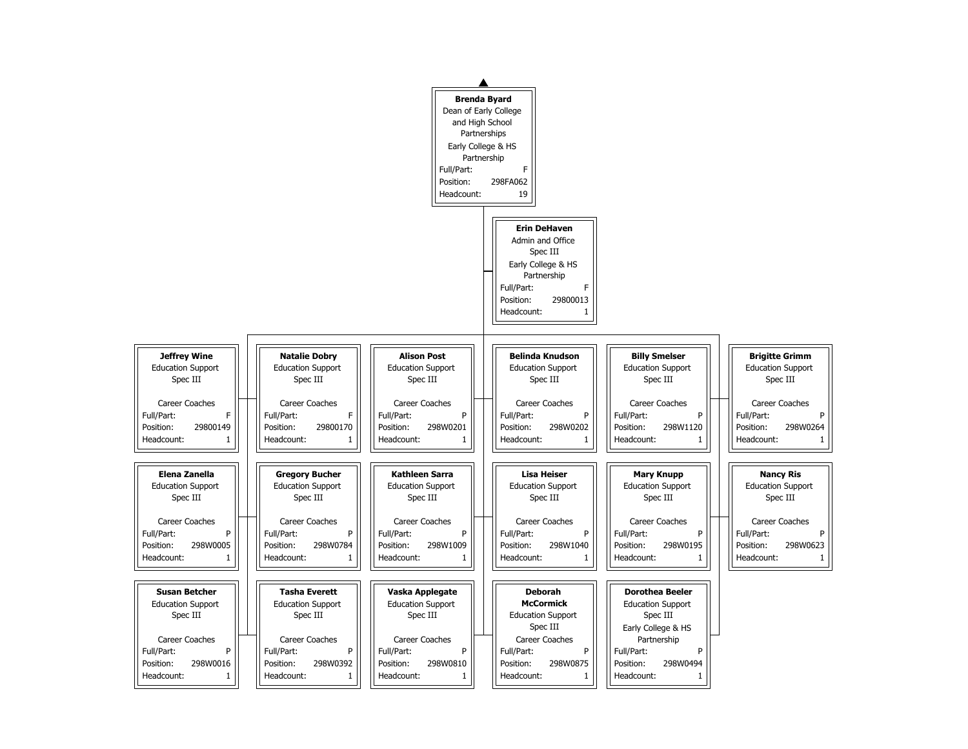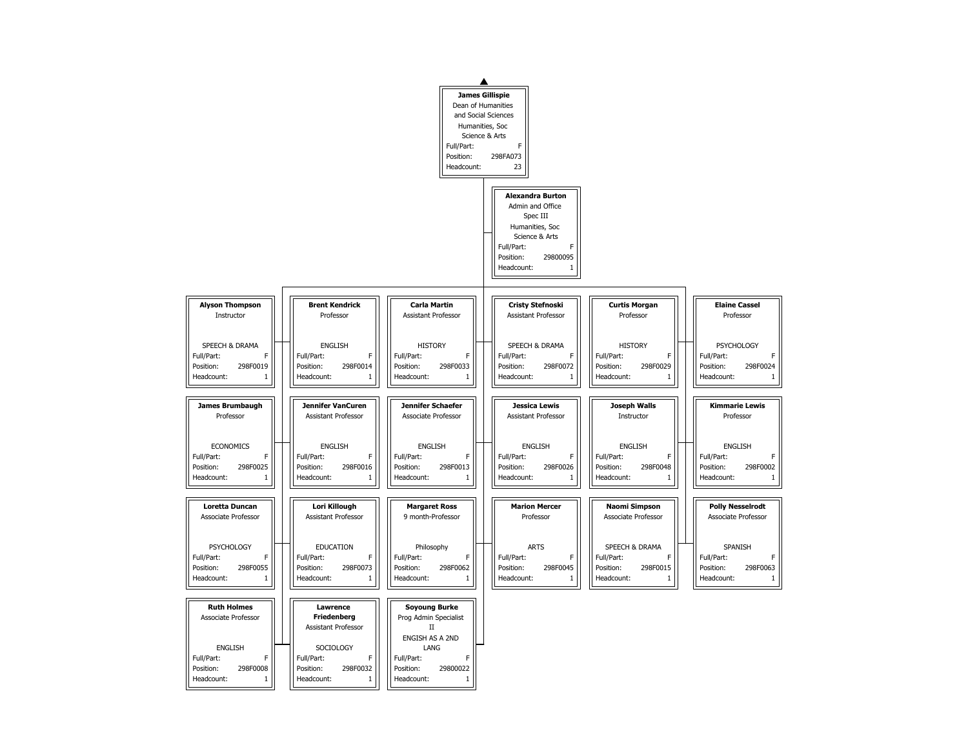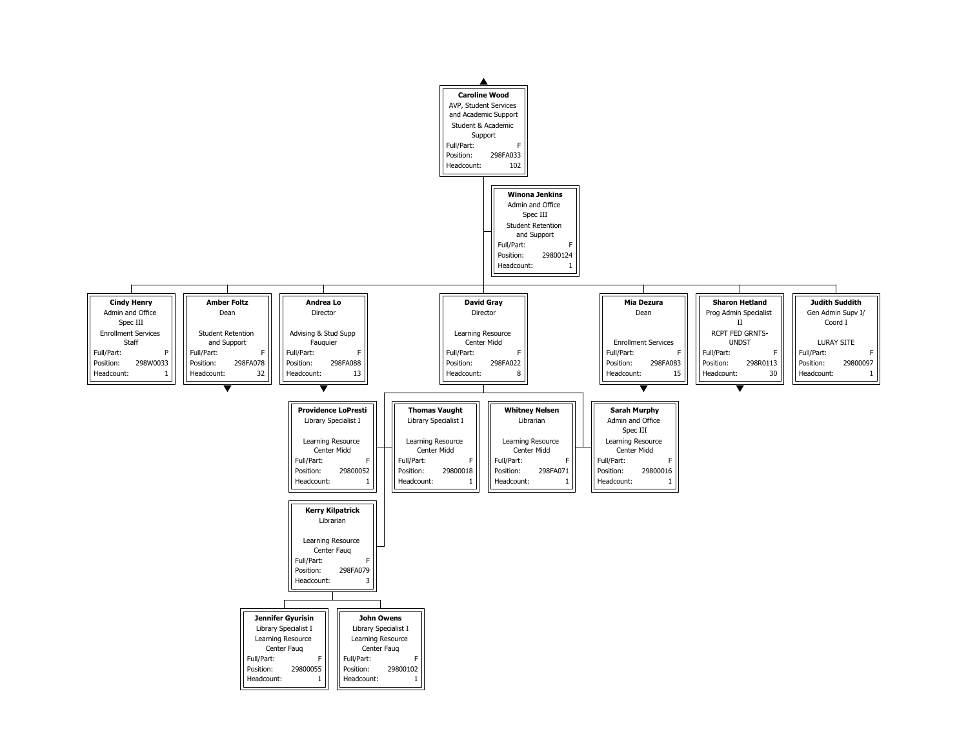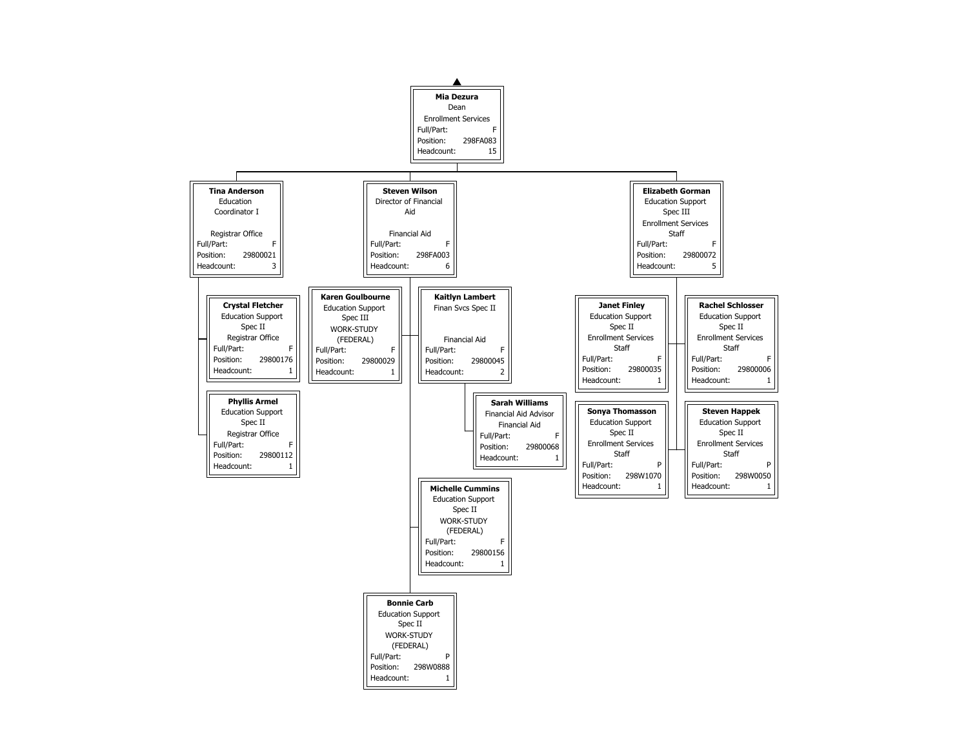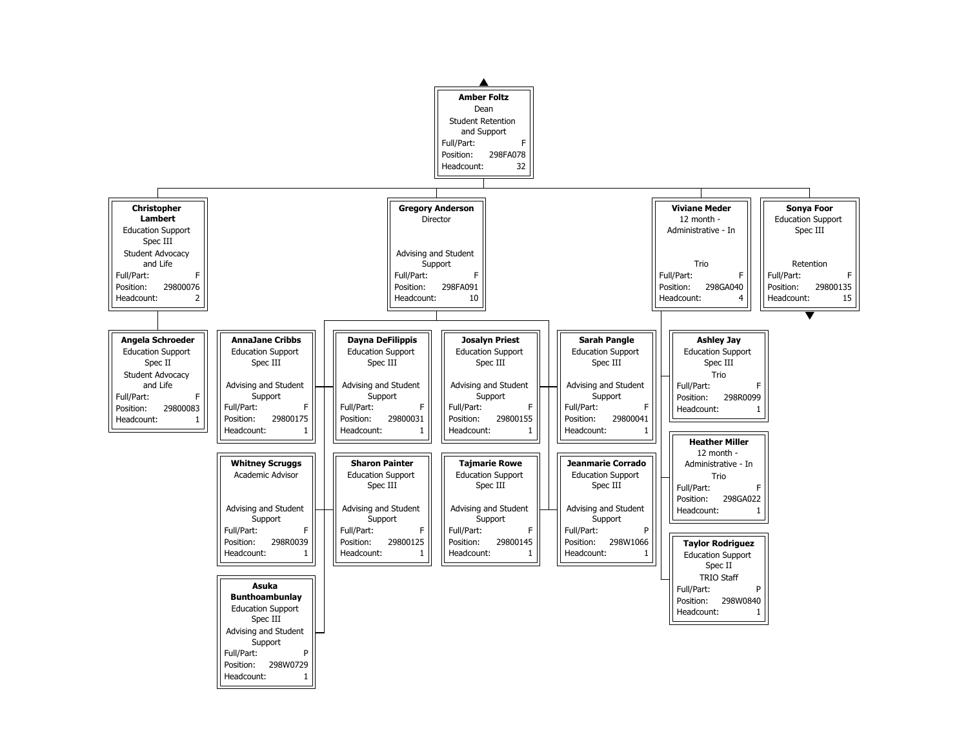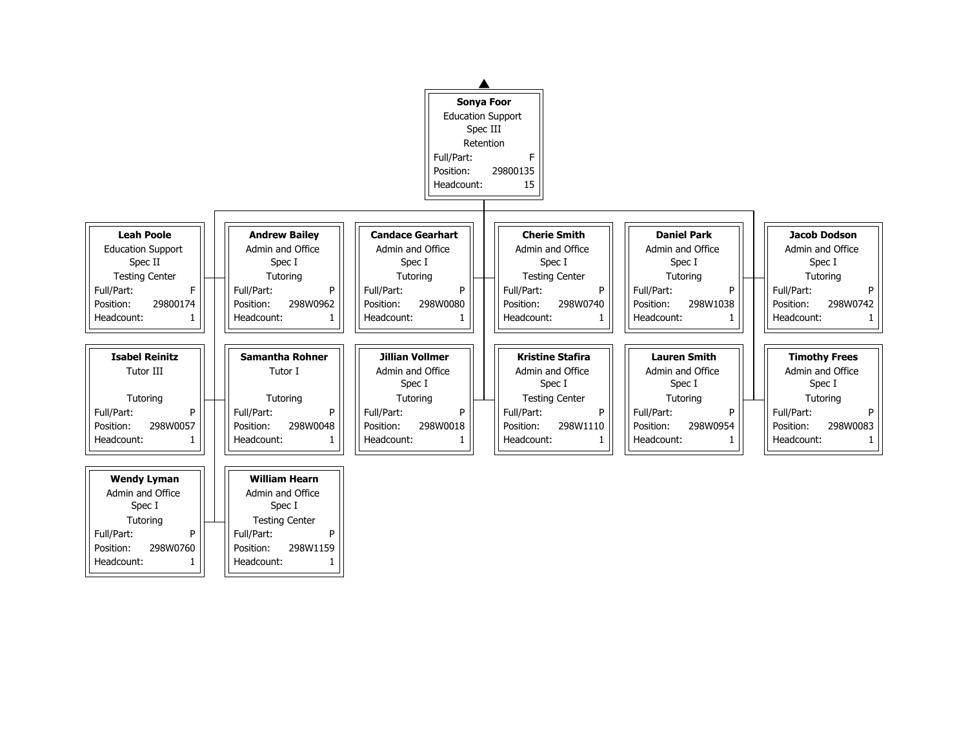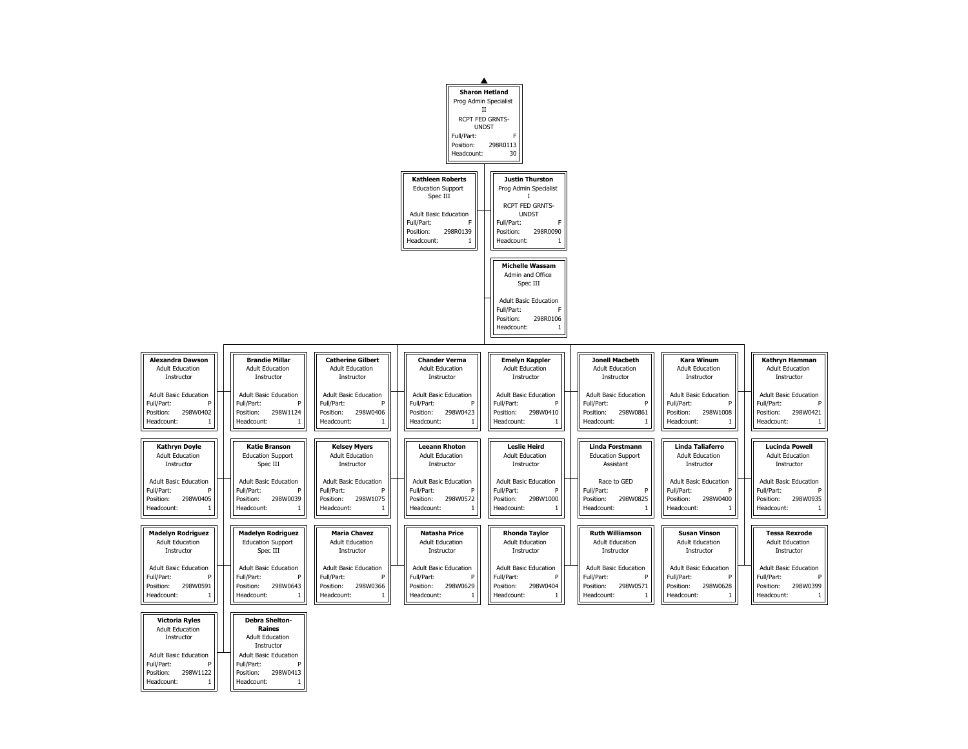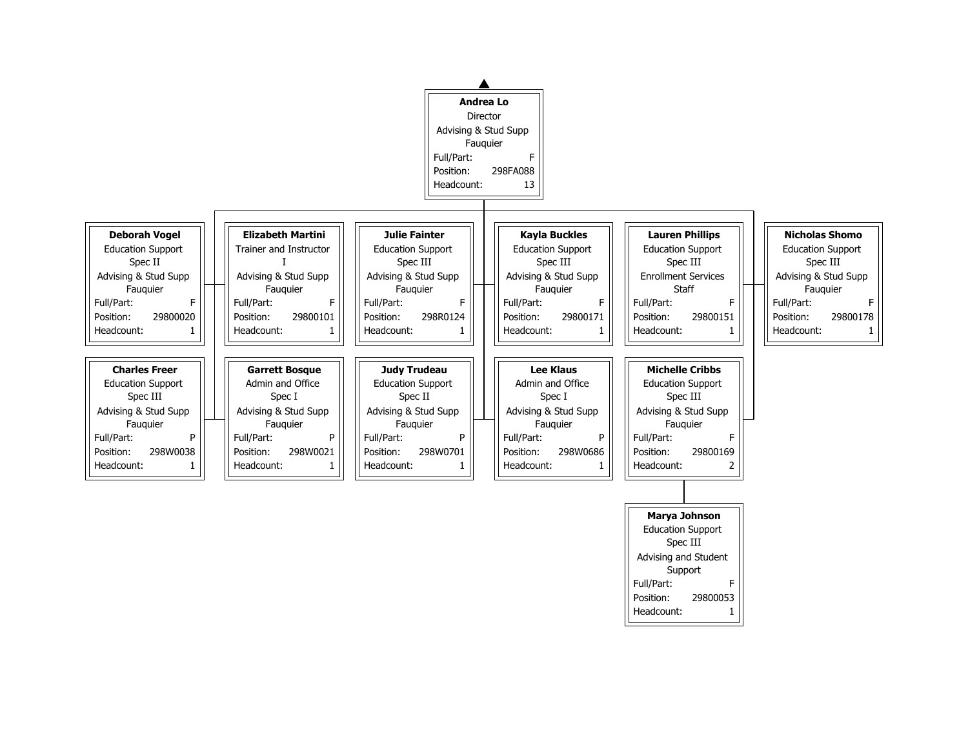

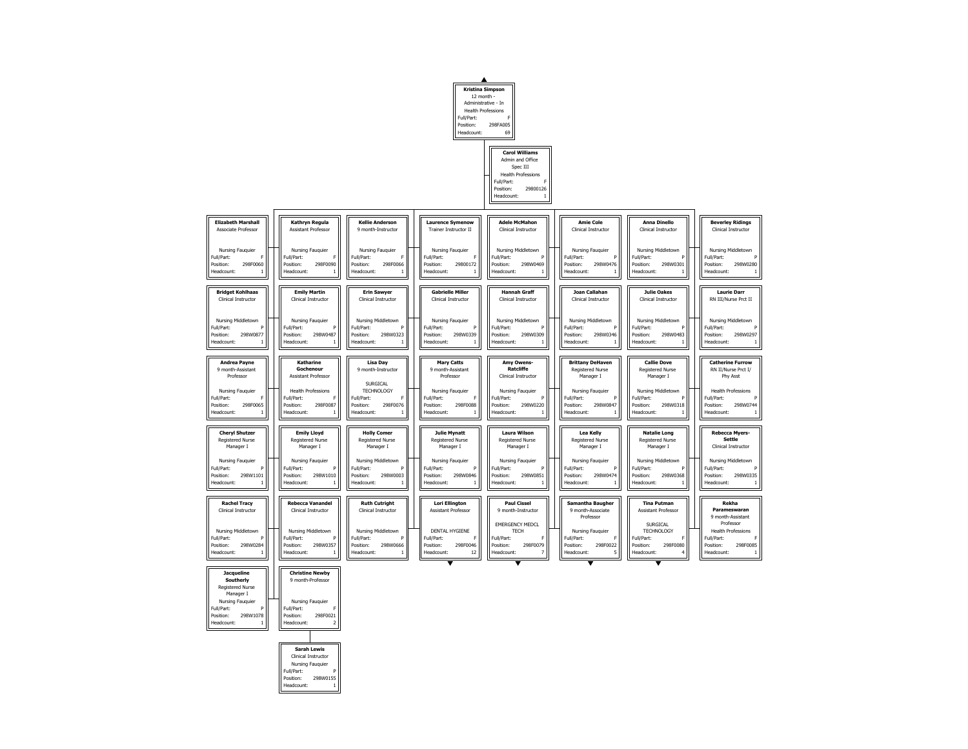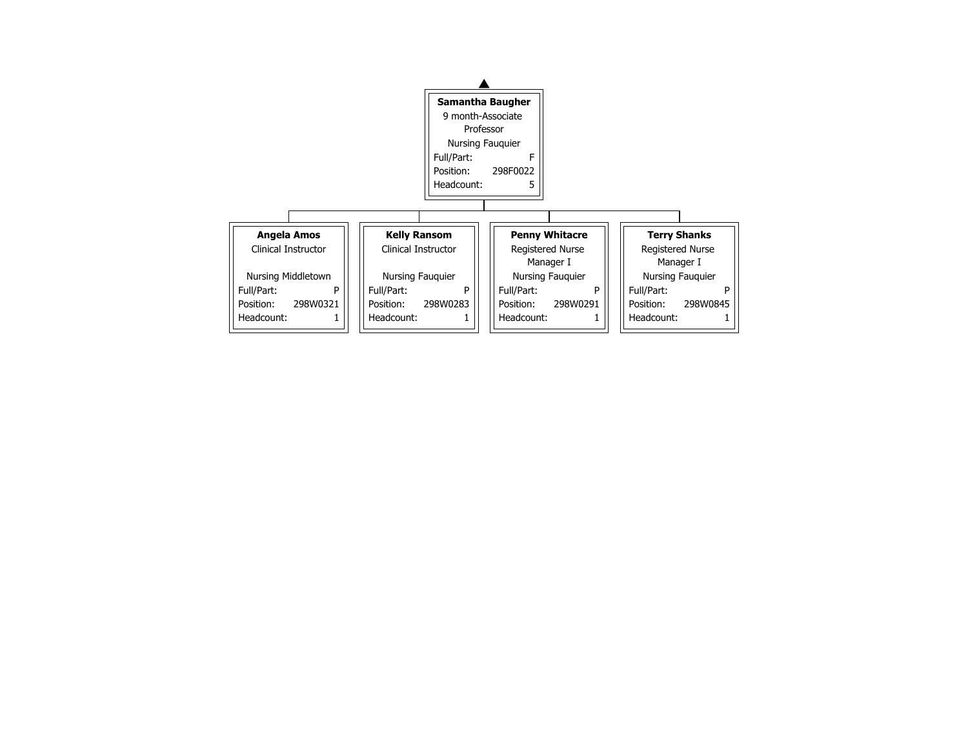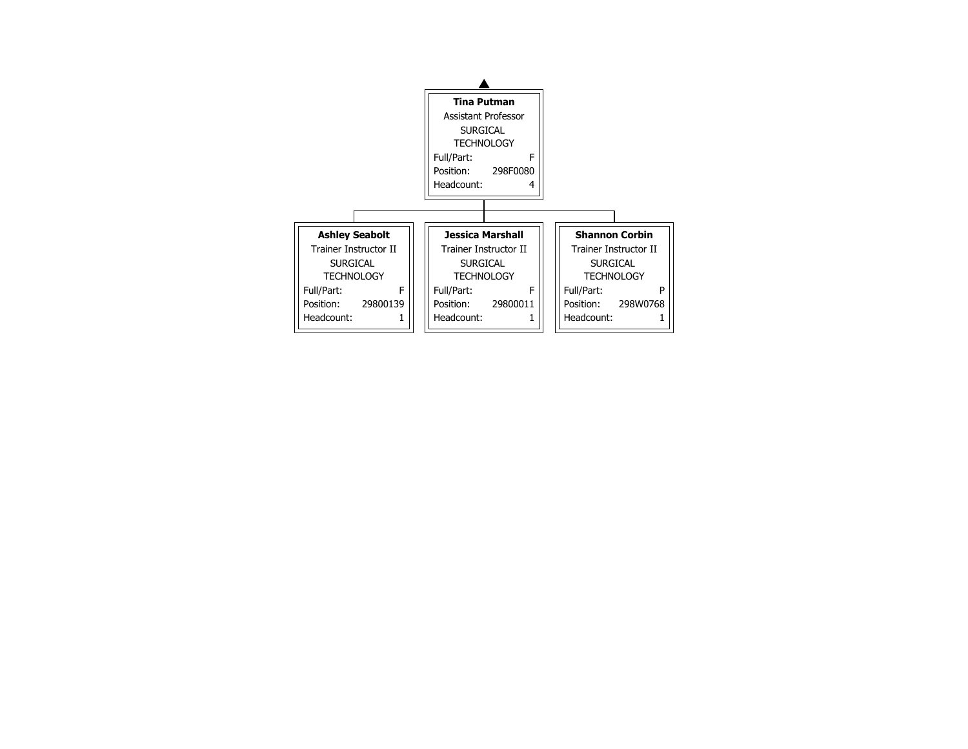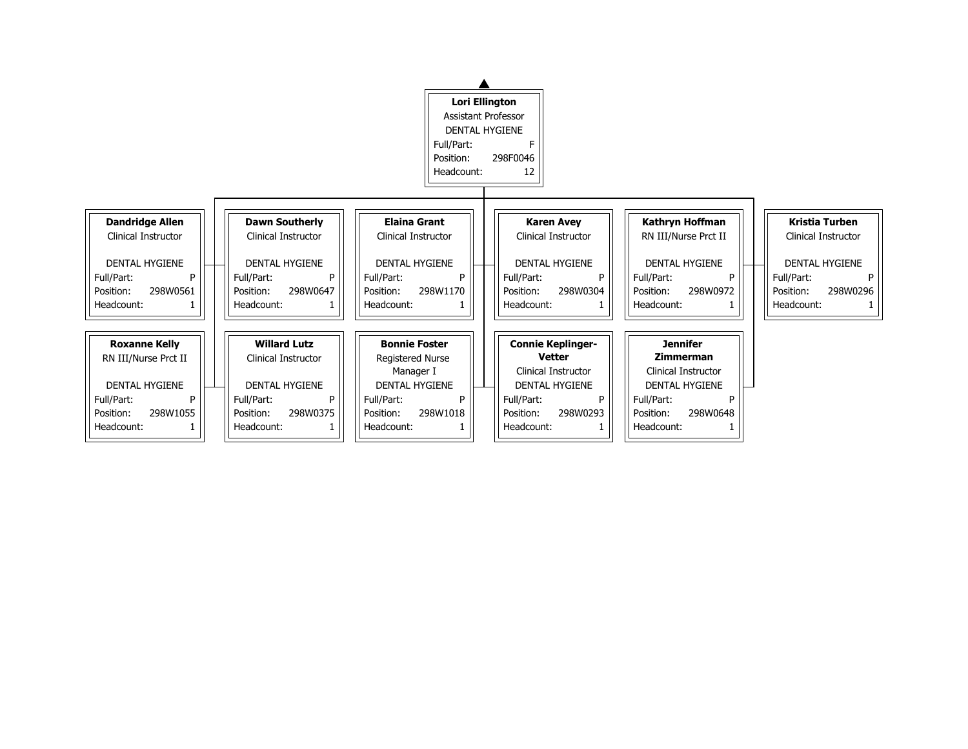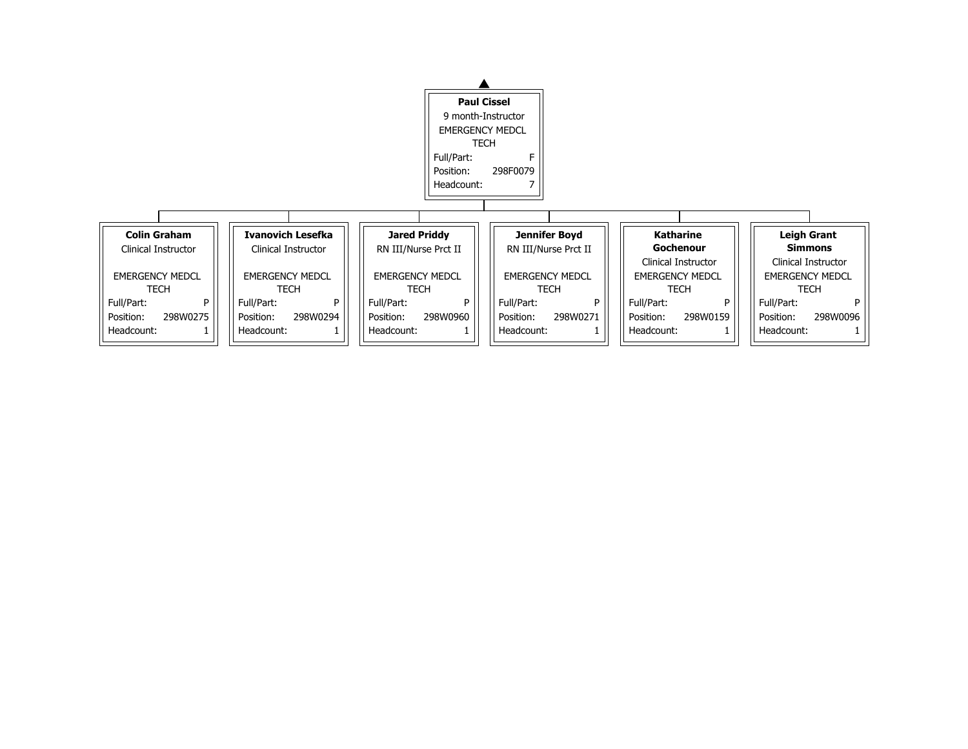

Clinical Instructor EMERGENCY MEDCL

## **Leigh Grant Simmons**

| <b>TECH</b> |          |  |  |  |
|-------------|----------|--|--|--|
| Full/Part:  | P        |  |  |  |
| Position:   | 298W0096 |  |  |  |
| Headcount:  |          |  |  |  |